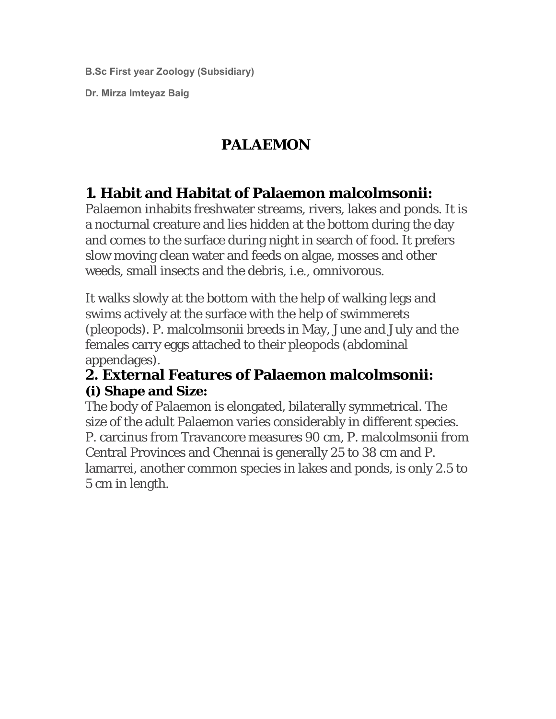**B.Sc First year Zoology (Subsidiary)** 

**Dr. Mirza Imteyaz Baig** 

# **PALAEMON**

# **1. Habit and Habitat of Palaemon malcolmsonii:**

Palaemon inhabits freshwater streams, rivers, lakes and ponds. It is a nocturnal creature and lies hidden at the bottom during the day and comes to the surface during night in search of food. It prefers slow moving clean water and feeds on algae, mosses and other weeds, small insects and the debris, i.e., omnivorous.

It walks slowly at the bottom with the help of walking legs and swims actively at the surface with the help of swimmerets (pleopods). P. malcolmsonii breeds in May, June and July and the females carry eggs attached to their pleopods (abdominal appendages).

### **2. External Features of Palaemon malcolmsonii: (i) Shape and Size:**

The body of Palaemon is elongated, bilaterally symmetrical. The size of the adult Palaemon varies considerably in different species. P. carcinus from Travancore measures 90 cm, P. malcolmsonii from Central Provinces and Chennai is generally 25 to 38 cm and P. lamarrei, another common species in lakes and ponds, is only 2.5 to 5 cm in length.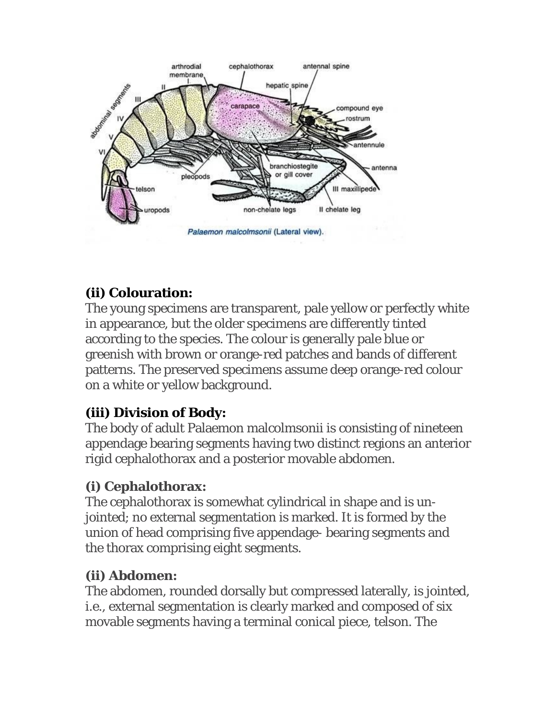

# **(ii) Colouration:**

The young specimens are transparent, pale yellow or perfectly white in appearance, but the older specimens are differently tinted according to the species. The colour is generally pale blue or greenish with brown or orange-red patches and bands of different patterns. The preserved specimens assume deep orange-red colour on a white or yellow background.

# **(iii) Division of Body:**

The body of adult Palaemon malcolmsonii is consisting of nineteen appendage bearing segments having two distinct regions an anterior rigid cephalothorax and a posterior movable abdomen.

## **(i) Cephalothorax:**

The cephalothorax is somewhat cylindrical in shape and is unjointed; no external segmentation is marked. It is formed by the union of head comprising five appendage- bearing segments and the thorax comprising eight segments.

# **(ii) Abdomen:**

The abdomen, rounded dorsally but compressed laterally, is jointed, i.e., external segmentation is clearly marked and composed of six movable segments having a terminal conical piece, telson. The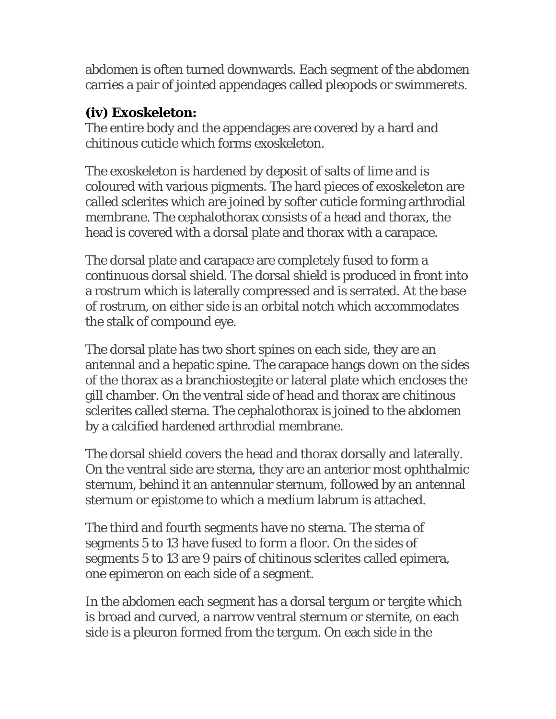abdomen is often turned downwards. Each segment of the abdomen carries a pair of jointed appendages called pleopods or swimmerets.

### **(iv) Exoskeleton:**

The entire body and the appendages are covered by a hard and chitinous cuticle which forms exoskeleton.

The exoskeleton is hardened by deposit of salts of lime and is coloured with various pigments. The hard pieces of exoskeleton are called sclerites which are joined by softer cuticle forming arthrodial membrane. The cephalothorax consists of a head and thorax, the head is covered with a dorsal plate and thorax with a carapace.

The dorsal plate and carapace are completely fused to form a continuous dorsal shield. The dorsal shield is produced in front into a rostrum which is laterally compressed and is serrated. At the base of rostrum, on either side is an orbital notch which accommodates the stalk of compound eye.

The dorsal plate has two short spines on each side, they are an antennal and a hepatic spine. The carapace hangs down on the sides of the thorax as a branchiostegite or lateral plate which encloses the gill chamber. On the ventral side of head and thorax are chitinous sclerites called sterna. The cephalothorax is joined to the abdomen by a calcified hardened arthrodial membrane.

The dorsal shield covers the head and thorax dorsally and laterally. On the ventral side are sterna, they are an anterior most ophthalmic sternum, behind it an antennular sternum, followed by an antennal sternum or epistome to which a medium labrum is attached.

The third and fourth segments have no sterna. The sterna of segments 5 to 13 have fused to form a floor. On the sides of segments 5 to 13 are 9 pairs of chitinous sclerites called epimera, one epimeron on each side of a segment.

In the abdomen each segment has a dorsal tergum or tergite which is broad and curved, a narrow ventral sternum or sternite, on each side is a pleuron formed from the tergum. On each side in the